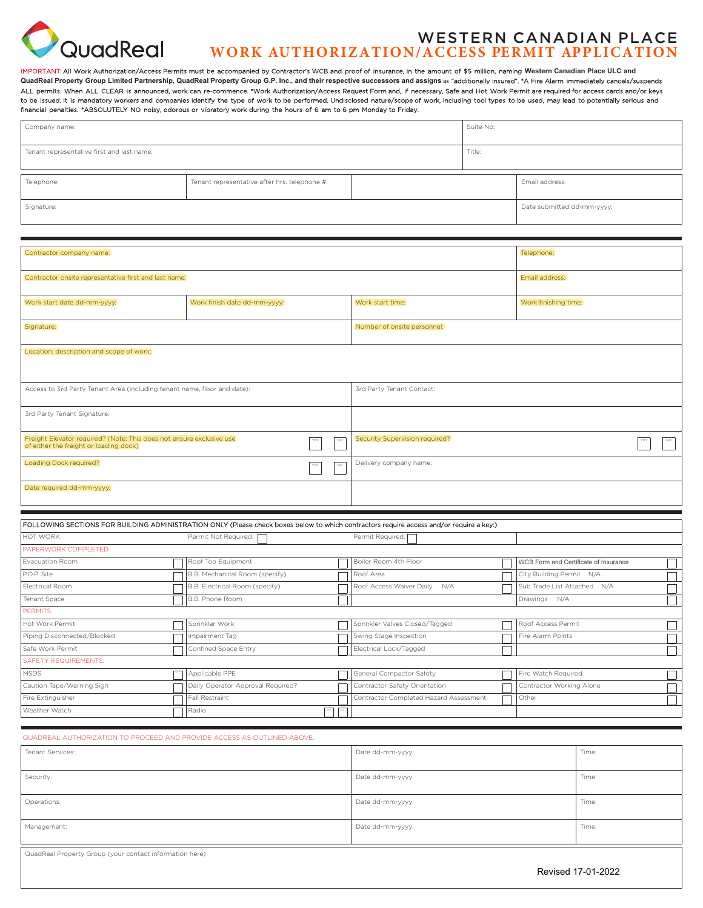

# Western Canadian PlaCe **WORK AUTHORIZATION/ACCESS PERMIT APPLICATION**

IMPORTANT: All Work Authorization/Access Permits must be accompanied by Contractor's WCB and proof of insurance, in the amount of \$5 million, naming **Western Canadian Place ULC and QuadReal Property Group Limited Partnership, QuadReal Property Group G.P. Inc., and their respective successors and assigns as** "additionally insured". \*A Fire Alarm immediately cancels/suspends ALL permits. When ALL CLEAR is announced, work can re-commence. \*Work Authorization/Access Request Form and, if necessary, Safe and Hot Work Permit are required for access cards and/or keys to be issued. It is mandatory workers and companies identify the type of work to be performed. Undisclosed nature/scope of work, including tool types to be used, may lead to potentially serious and financial penalties. \*ABSOLUTELY NO noisy, odorous or vibratory work during the hours of 6 am to 6 pm Monday to Friday.

| Company name:                              |                                               |  | Suite No: |                            |
|--------------------------------------------|-----------------------------------------------|--|-----------|----------------------------|
| Tenant representative first and last name: |                                               |  | Title:    |                            |
| Telephone:                                 | Tenant representative after hrs. telephone #: |  |           | Email address:             |
| Signature:                                 |                                               |  |           | Date submitted dd-mm-yyyy: |

| Contractor company name:                                                                                                             |                                                                                                                                          |                                | Telephone:                             |  |                                       |  |  |
|--------------------------------------------------------------------------------------------------------------------------------------|------------------------------------------------------------------------------------------------------------------------------------------|--------------------------------|----------------------------------------|--|---------------------------------------|--|--|
| Contractor onsite representative first and last name:                                                                                |                                                                                                                                          |                                | Email address:                         |  |                                       |  |  |
| Work start date dd-mm-yyyy.                                                                                                          | Work finish date dd-mm-yyyy.                                                                                                             |                                | Work start time:                       |  | Work finishing time:                  |  |  |
| Signature:                                                                                                                           |                                                                                                                                          | Number of onsite personnel:    |                                        |  |                                       |  |  |
| Location, description and scope of work:                                                                                             |                                                                                                                                          |                                |                                        |  |                                       |  |  |
| 3rd Party Tenant Contact:<br>Access to 3rd Party Tenant Area (including tenant name, floor and date):                                |                                                                                                                                          |                                |                                        |  |                                       |  |  |
| 3rd Party Tenant Signature:                                                                                                          |                                                                                                                                          |                                |                                        |  |                                       |  |  |
| Freight Elevator required? (Note: This does not ensure exclusive use<br>NO.<br>${\sf YES}$<br>of either the freight or loading dock) |                                                                                                                                          | Security Supervision required? |                                        |  |                                       |  |  |
| Loading Dock required?<br>${\sf YES}$<br>$_{\rm NO}$                                                                                 |                                                                                                                                          | Delivery company name:         |                                        |  |                                       |  |  |
| Date required dd-mm-yyyy.                                                                                                            |                                                                                                                                          |                                |                                        |  |                                       |  |  |
|                                                                                                                                      | FOLLOWING SECTIONS FOR BUILDING ADMINISTRATION ONLY (Please check boxes below to which contractors require access and/or require a key:) |                                |                                        |  |                                       |  |  |
| HOT WORK<br>Permit Not Required:<br>Permit Required:                                                                                 |                                                                                                                                          |                                |                                        |  |                                       |  |  |
| PAPERWORK COMPLETED                                                                                                                  |                                                                                                                                          |                                |                                        |  |                                       |  |  |
| Evacuation Room                                                                                                                      | Roof Top Equipment                                                                                                                       |                                | Boiler Room 4th Floor                  |  | WCB Form and Certificate of Insurance |  |  |
| P.O.P. Site                                                                                                                          | B.B. Mechanical Room (specify)                                                                                                           |                                | Roof Area                              |  | City Building Permit N/A              |  |  |
| Electrical Room                                                                                                                      | B.B. Electrical Room (specify)                                                                                                           |                                | Roof Access Waiver Daily N/A           |  | Sub Trade List Attached N/A           |  |  |
| Tenant Space                                                                                                                         | B.B. Phone Room                                                                                                                          |                                |                                        |  | Drawings N/A                          |  |  |
| <b>PERMITS</b>                                                                                                                       |                                                                                                                                          |                                |                                        |  |                                       |  |  |
| Hot Work Permit                                                                                                                      | Sprinkler Work                                                                                                                           |                                | Sprinkler Valves Closed/Tagged         |  | Roof Access Permit                    |  |  |
| Piping Disconnected/Blocked                                                                                                          | Impairment Tag                                                                                                                           |                                | Swing Stage Inspection                 |  | Fire Alarm Points                     |  |  |
| Safe Work Permit                                                                                                                     | Confined Space Entry                                                                                                                     |                                | Electrical Lock/Tagged                 |  |                                       |  |  |
| <b>SAFETY REQUIREMENTS:</b>                                                                                                          |                                                                                                                                          |                                |                                        |  |                                       |  |  |
| <b>MSDS</b>                                                                                                                          | Applicable PPE                                                                                                                           |                                | General Compactor Safety               |  | Fire Watch Required                   |  |  |
| Caution Tape/Warning Sign                                                                                                            | Daily Operator Approval Required?                                                                                                        |                                | Contractor Safety Orientation          |  | Contractor Working Alone              |  |  |
| Fire Extinguisher                                                                                                                    | Fall Restraint                                                                                                                           |                                | Contractor Completed Hazard Assessment |  | Other                                 |  |  |
| Weather Watch                                                                                                                        | Radio                                                                                                                                    | YES                            |                                        |  |                                       |  |  |

| QUADREAL AUTHORIZATION TO PROCEED AND PROVIDE ACCESS AS OUTLINED ABOVE. |                  |       |
|-------------------------------------------------------------------------|------------------|-------|
| Tenant Services:                                                        | Date dd-mm-yyyy: | Time: |
| Security:                                                               | Date dd-mm-yyyy: | Time: |
| Operations:                                                             | Date dd-mm-yyyy: | Time: |
| Management:                                                             | Date dd-mm-yyyy: | Time: |

QuadReal Property Group (your contact information here)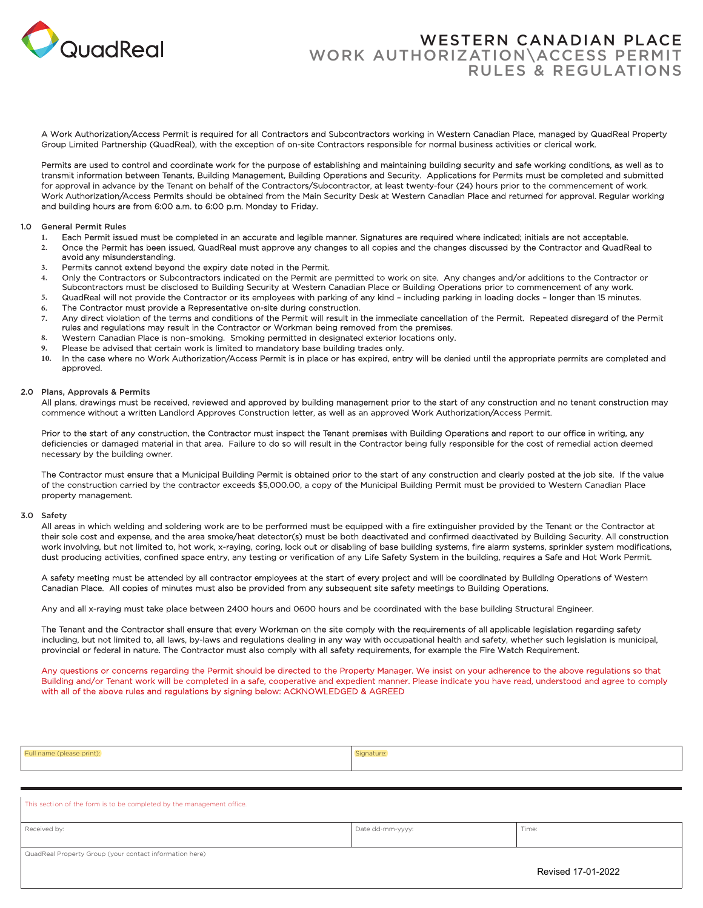

# Western Canadian Place Work Authorization\Access Permit Rules & Regulations

A Work Authorization/Access Permit is required for all Contractors and Subcontractors working in Western Canadian Place, managed by QuadReal Property Group Limited Partnership (QuadReal), with the exception of on-site Contractors responsible for normal business activities or clerical work.

Permits are used to control and coordinate work for the purpose of establishing and maintaining building security and safe working conditions, as well as to transmit information between Tenants, Building Management, Building Operations and Security. Applications for Permits must be completed and submitted for approval in advance by the Tenant on behalf of the Contractors/Subcontractor, at least twenty-four (24) hours prior to the commencement of work. Work Authorization/Access Permits should be obtained from the Main Security Desk at Western Canadian Place and returned for approval. Regular working and building hours are from 6:00 a.m. to 6:00 p.m. Monday to Friday.

#### 1.0 General Permit Rules

- **1.** Each Permit issued must be completed in an accurate and legible manner. Signatures are required where indicated; initials are not acceptable.
- **2.** Once the Permit has been issued, QuadReal must approve any changes to all copies and the changes discussed by the Contractor and QuadReal to avoid any misunderstanding.
- **3.** Permits cannot extend beyond the expiry date noted in the Permit.
- **4.** Only the Contractors or Subcontractors indicated on the Permit are permitted to work on site. Any changes and/or additions to the Contractor or Subcontractors must be disclosed to Building Security at Western Canadian Place or Building Operations prior to commencement of any work.
- **5.** QuadReal will not provide the Contractor or its employees with parking of any kind including parking in loading docks longer than 15 minutes.
- **6.** The Contractor must provide a Representative on-site during construction.
- **7.** Any direct violation of the terms and conditions of the Permit will result in the immediate cancellation of the Permit. Repeated disregard of the Permit rules and regulations may result in the Contractor or Workman being removed from the premises.
- **8.** Western Canadian Place is non–smoking. Smoking permitted in designated exterior locations only.
- **9.** Please be advised that certain work is limited to mandatory base building trades only.
- **10.** In the case where no Work Authorization/Access Permit is in place or has expired, entry will be denied until the appropriate permits are completed and approved.

#### 2.0 Plans, Approvals & Permits

All plans, drawings must be received, reviewed and approved by building management prior to the start of any construction and no tenant construction may commence without a written Landlord Approves Construction letter, as well as an approved Work Authorization/Access Permit.

Prior to the start of any construction, the Contractor must inspect the Tenant premises with Building Operations and report to our office in writing, any deficiencies or damaged material in that area. Failure to do so will result in the Contractor being fully responsible for the cost of remedial action deemed necessary by the building owner.

The Contractor must ensure that a Municipal Building Permit is obtained prior to the start of any construction and clearly posted at the job site. If the value of the construction carried by the contractor exceeds \$5,000.00, a copy of the Municipal Building Permit must be provided to Western Canadian Place property management.

#### 3.0 Safety

All areas in which welding and soldering work are to be performed must be equipped with a fire extinguisher provided by the Tenant or the Contractor at their sole cost and expense, and the area smoke/heat detector(s) must be both deactivated and confirmed deactivated by Building Security. All construction work involving, but not limited to, hot work, x-raying, coring, lock out or disabling of base building systems, fire alarm systems, sprinkler system modifications, dust producing activities, confined space entry, any testing or verification of any Life Safety System in the building, requires a Safe and Hot Work Permit.

A safety meeting must be attended by all contractor employees at the start of every project and will be coordinated by Building Operations of Western Canadian Place. All copies of minutes must also be provided from any subsequent site safety meetings to Building Operations.

Any and all x-raying must take place between 2400 hours and 0600 hours and be coordinated with the base building Structural Engineer.

The Tenant and the Contractor shall ensure that every Workman on the site comply with the requirements of all applicable legislation regarding safety including, but not limited to, all laws, by-laws and regulations dealing in any way with occupational health and safety, whether such legislation is municipal, provincial or federal in nature. The Contractor must also comply with all safety requirements, for example the Fire Watch Requirement.

Any questions or concerns regarding the Permit should be directed to the Property Manager. We insist on your adherence to the above regulations so that Building and/or Tenant work will be completed in a safe, cooperative and expedient manner. Please indicate you have read, understood and agree to comply with all of the above rules and regulations by signing below: ACKNOWLEDGED & AGREED

| Full name (please print): | Signature: |
|---------------------------|------------|
|                           |            |

| This section of the form is to be completed by the management office. |                  |       |  |  |
|-----------------------------------------------------------------------|------------------|-------|--|--|
| Received by:                                                          | Date dd-mm-yyyy: | Time: |  |  |
| QuadReal Property Group (your contact information here)               |                  |       |  |  |